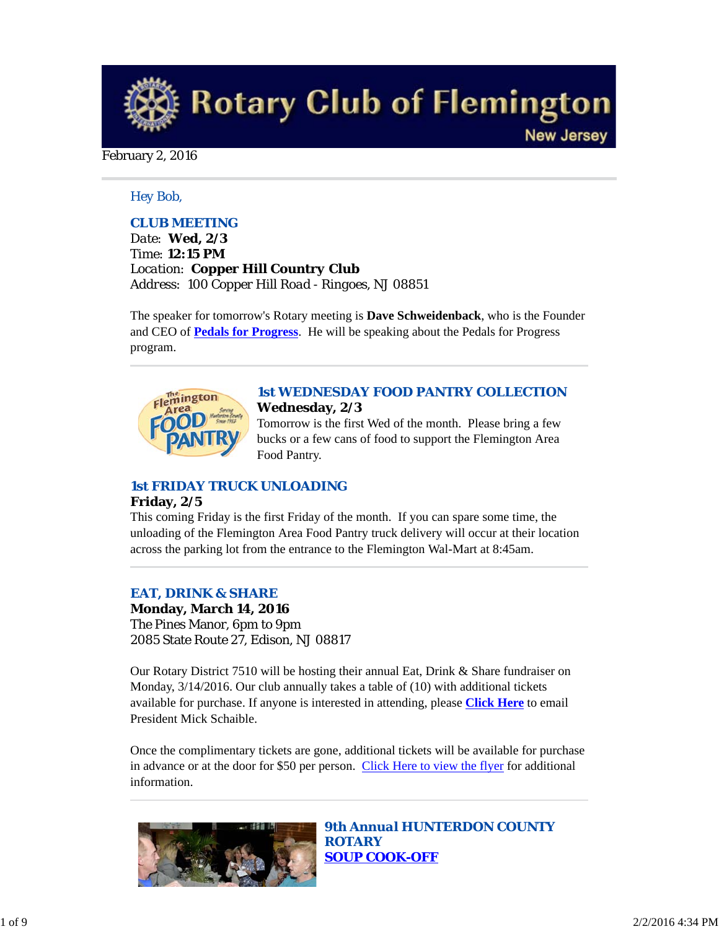**Rotary Club of Flemington New Jersey** 

#### February 2, 2016

#### *Hey Bob,*

### *CLUB MEETING*

*Date: Wed, 2/3 Time: 12:15 PM Location: Copper Hill Country Club Address: 100 Copper Hill Road - Ringoes, NJ 08851*

The speaker for tomorrow's Rotary meeting is **Dave Schweidenback**, who is the Founder and CEO of **Pedals for Progress**. He will be speaking about the Pedals for Progress program.



#### *1st WEDNESDAY FOOD PANTRY COLLECTION* **Wednesday, 2/3**

Tomorrow is the first Wed of the month. Please bring a few bucks or a few cans of food to support the Flemington Area Food Pantry.

### *1st FRIDAY TRUCK UNLOADING*

#### **Friday, 2/5**

This coming Friday is the first Friday of the month. If you can spare some time, the unloading of the Flemington Area Food Pantry truck delivery will occur at their location across the parking lot from the entrance to the Flemington Wal-Mart at 8:45am.

#### *EAT, DRINK & SHARE*

**Monday, March 14, 2016** The Pines Manor, 6pm to 9pm 2085 State Route 27, Edison, NJ 08817

Our Rotary District 7510 will be hosting their annual Eat, Drink & Share fundraiser on Monday, 3/14/2016. Our club annually takes a table of (10) with additional tickets available for purchase. If anyone is interested in attending, please **Click Here** to email President Mick Schaible.

Once the complimentary tickets are gone, additional tickets will be available for purchase in advance or at the door for \$50 per person. Click Here to view the flyer for additional information.



*9th Annual HUNTERDON COUNTY ROTARY SOUP COOK-OFF*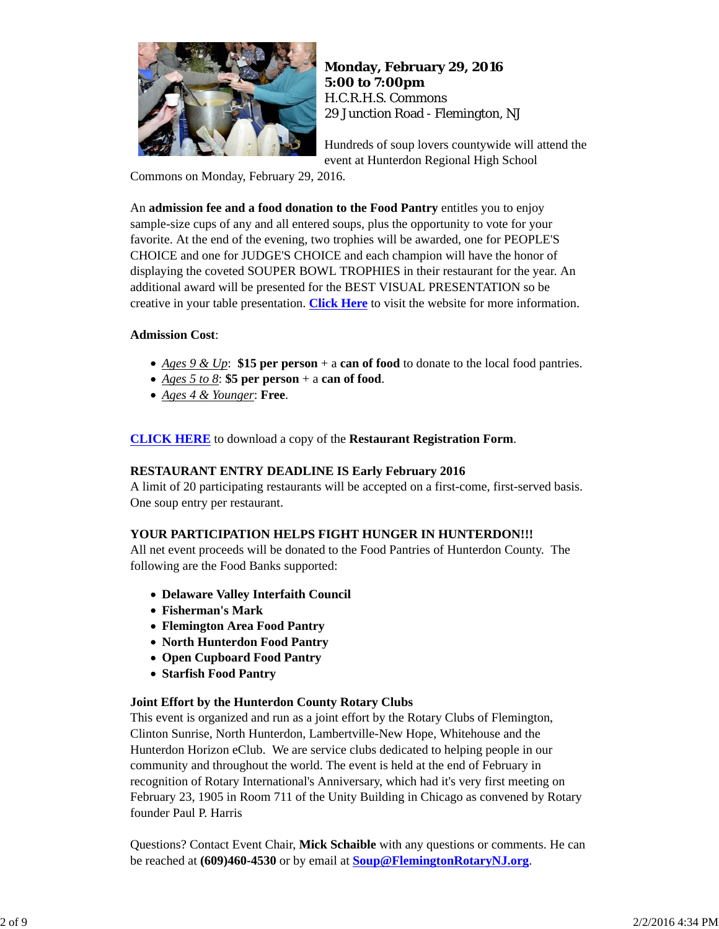

**Monday, February 29, 2016 5:00 to 7:00pm** H.C.R.H.S. Commons 29 Junction Road - Flemington, NJ

Hundreds of soup lovers countywide will attend the event at Hunterdon Regional High School

Commons on Monday, February 29, 2016.

An **admission fee and a food donation to the Food Pantry** entitles you to enjoy sample-size cups of any and all entered soups, plus the opportunity to vote for your favorite. At the end of the evening, two trophies will be awarded, one for PEOPLE'S CHOICE and one for JUDGE'S CHOICE and each champion will have the honor of displaying the coveted SOUPER BOWL TROPHIES in their restaurant for the year. An additional award will be presented for the BEST VISUAL PRESENTATION so be creative in your table presentation. **Click Here** to visit the website for more information.

### **Admission Cost**:

- *Ages 9 & Up*: **\$15 per person** + a **can of food** to donate to the local food pantries.
- *Ages 5 to 8*: **\$5 per person** + a **can of food**.
- *Ages 4 & Younger*: **Free**.

**CLICK HERE** to download a copy of the **Restaurant Registration Form**.

### **RESTAURANT ENTRY DEADLINE IS Early February 2016**

A limit of 20 participating restaurants will be accepted on a first-come, first-served basis. One soup entry per restaurant.

#### **YOUR PARTICIPATION HELPS FIGHT HUNGER IN HUNTERDON!!!**

All net event proceeds will be donated to the Food Pantries of Hunterdon County. The following are the Food Banks supported:

- **Delaware Valley Interfaith Council**
- **Fisherman's Mark**
- **Flemington Area Food Pantry**
- **North Hunterdon Food Pantry**
- **Open Cupboard Food Pantry**
- **Starfish Food Pantry**

#### **Joint Effort by the Hunterdon County Rotary Clubs**

This event is organized and run as a joint effort by the Rotary Clubs of Flemington, Clinton Sunrise, North Hunterdon, Lambertville-New Hope, Whitehouse and the Hunterdon Horizon eClub. We are service clubs dedicated to helping people in our community and throughout the world. The event is held at the end of February in recognition of Rotary International's Anniversary, which had it's very first meeting on February 23, 1905 in Room 711 of the Unity Building in Chicago as convened by Rotary founder Paul P. Harris

Questions? Contact Event Chair, **Mick Schaible** with any questions or comments. He can be reached at **(609)460-4530** or by email at **Soup@FlemingtonRotaryNJ.org**.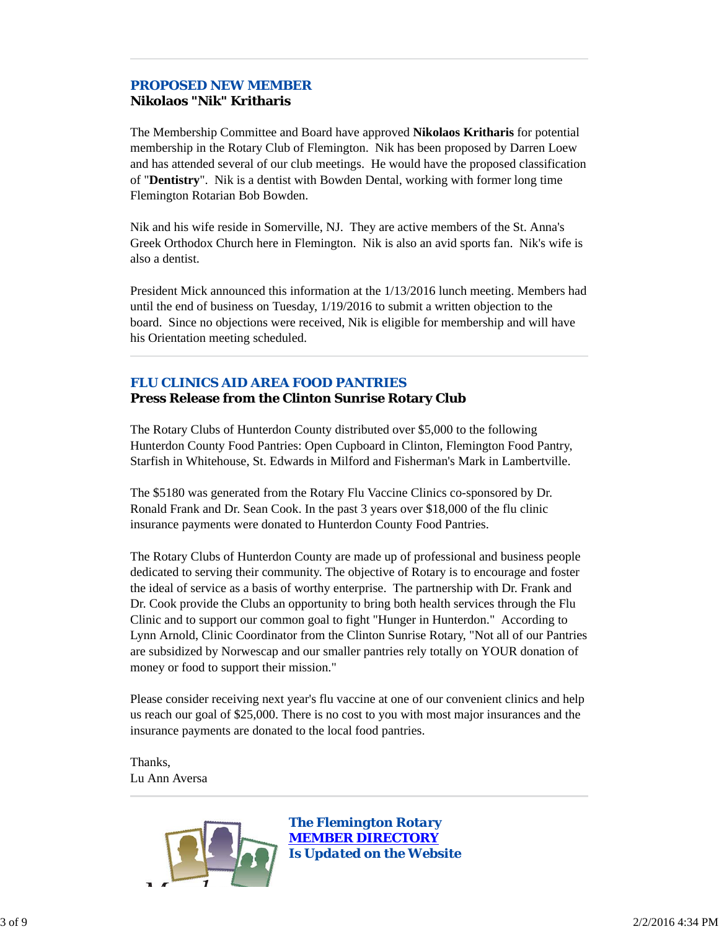# *PROPOSED NEW MEMBER*

## **Nikolaos "Nik" Kritharis**

The Membership Committee and Board have approved **Nikolaos Kritharis** for potential membership in the Rotary Club of Flemington. Nik has been proposed by Darren Loew and has attended several of our club meetings. He would have the proposed classification of "**Dentistry**". Nik is a dentist with Bowden Dental, working with former long time Flemington Rotarian Bob Bowden.

Nik and his wife reside in Somerville, NJ. They are active members of the St. Anna's Greek Orthodox Church here in Flemington. Nik is also an avid sports fan. Nik's wife is also a dentist.

President Mick announced this information at the 1/13/2016 lunch meeting. Members had until the end of business on Tuesday, 1/19/2016 to submit a written objection to the board. Since no objections were received, Nik is eligible for membership and will have his Orientation meeting scheduled.

### *FLU CLINICS AID AREA FOOD PANTRIES* **Press Release from the Clinton Sunrise Rotary Club**

The Rotary Clubs of Hunterdon County distributed over \$5,000 to the following Hunterdon County Food Pantries: Open Cupboard in Clinton, Flemington Food Pantry, Starfish in Whitehouse, St. Edwards in Milford and Fisherman's Mark in Lambertville.

The \$5180 was generated from the Rotary Flu Vaccine Clinics co-sponsored by Dr. Ronald Frank and Dr. Sean Cook. In the past 3 years over \$18,000 of the flu clinic insurance payments were donated to Hunterdon County Food Pantries.

The Rotary Clubs of Hunterdon County are made up of professional and business people dedicated to serving their community. The objective of Rotary is to encourage and foster the ideal of service as a basis of worthy enterprise. The partnership with Dr. Frank and Dr. Cook provide the Clubs an opportunity to bring both health services through the Flu Clinic and to support our common goal to fight "Hunger in Hunterdon." According to Lynn Arnold, Clinic Coordinator from the Clinton Sunrise Rotary, "Not all of our Pantries are subsidized by Norwescap and our smaller pantries rely totally on YOUR donation of money or food to support their mission."

Please consider receiving next year's flu vaccine at one of our convenient clinics and help us reach our goal of \$25,000. There is no cost to you with most major insurances and the insurance payments are donated to the local food pantries.

Thanks, Lu Ann Aversa

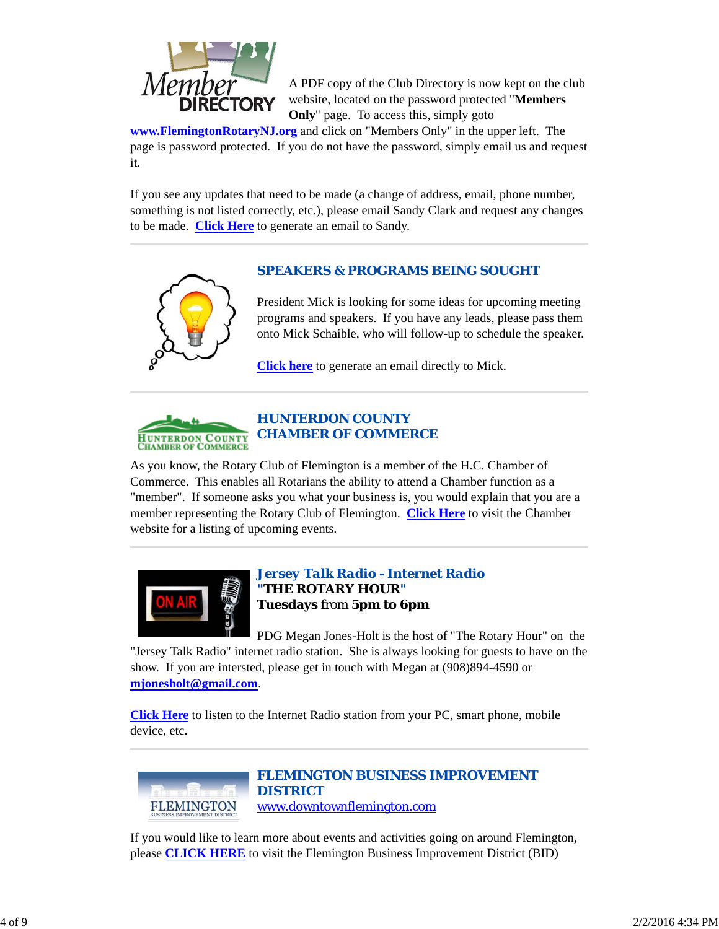

A PDF copy of the Club Directory is now kept on the club website, located on the password protected "**Members Only**" page. To access this, simply goto

**www.FlemingtonRotaryNJ.org** and click on "Members Only" in the upper left. The page is password protected. If you do not have the password, simply email us and request it.

If you see any updates that need to be made (a change of address, email, phone number, something is not listed correctly, etc.), please email Sandy Clark and request any changes to be made. **Click Here** to generate an email to Sandy.

### *SPEAKERS & PROGRAMS BEING SOUGHT*



President Mick is looking for some ideas for upcoming meeting programs and speakers. If you have any leads, please pass them onto Mick Schaible, who will follow-up to schedule the speaker.

**Click here** to generate an email directly to Mick.



### *HUNTERDON COUNTY CHAMBER OF COMMERCE*

As you know, the Rotary Club of Flemington is a member of the H.C. Chamber of Commerce. This enables all Rotarians the ability to attend a Chamber function as a "member". If someone asks you what your business is, you would explain that you are a member representing the Rotary Club of Flemington. **Click Here** to visit the Chamber website for a listing of upcoming events.



### *Jersey Talk Radio - Internet Radio "THE ROTARY HOUR"* **Tuesdays** from **5pm to 6pm**

PDG Megan Jones-Holt is the host of "The Rotary Hour" on the "Jersey Talk Radio" internet radio station. She is always looking for guests to have on the show. If you are intersted, please get in touch with Megan at (908)894-4590 or **mjonesholt@gmail.com**.

**Click Here** to listen to the Internet Radio station from your PC, smart phone, mobile device, etc.



*FLEMINGTON BUSINESS IMPROVEMENT DISTRICT* www.downtownflemington.com

If you would like to learn more about events and activities going on around Flemington, please **CLICK HERE** to visit the Flemington Business Improvement District (BID)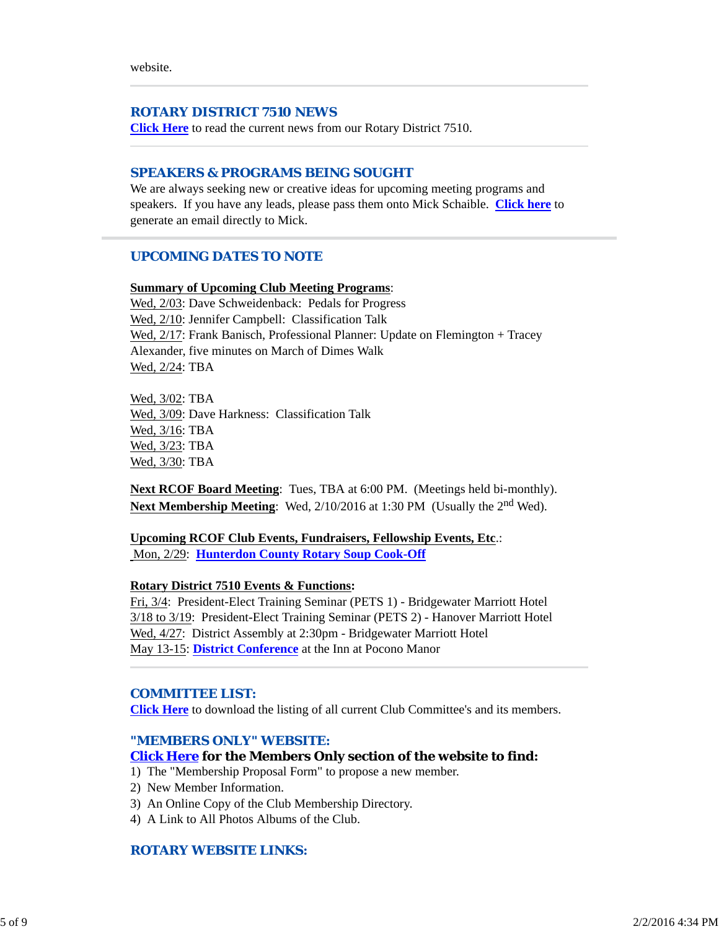website.

#### *ROTARY DISTRICT 7510 NEWS*

**Click Here** to read the current news from our Rotary District 7510.

#### *SPEAKERS & PROGRAMS BEING SOUGHT*

We are always seeking new or creative ideas for upcoming meeting programs and speakers. If you have any leads, please pass them onto Mick Schaible. **Click here** to generate an email directly to Mick.

#### *UPCOMING DATES TO NOTE*

#### **Summary of Upcoming Club Meeting Programs**:

Wed,  $2/03$ : Dave Schweidenback: Pedals for Progress Wed,  $2/10$ : Jennifer Campbell: Classification Talk Wed, 2/17: Frank Banisch, Professional Planner: Update on Flemington + Tracey Alexander, five minutes on March of Dimes Walk Wed, 2/24: TBA

Wed, 3/02: TBA Wed, 3/09: Dave Harkness: Classification Talk Wed, 3/16: TBA Wed, 3/23: TBA Wed, 3/30: TBA

**Next RCOF Board Meeting**: Tues, TBA at 6:00 PM. (Meetings held bi-monthly). Next Membership Meeting: Wed, 2/10/2016 at 1:30 PM (Usually the 2<sup>nd</sup> Wed).

**Upcoming RCOF Club Events, Fundraisers, Fellowship Events, Etc**.: Mon, 2/29: **Hunterdon County Rotary Soup Cook-Off**

#### **Rotary District 7510 Events & Functions:**

Fri, 3/4: President-Elect Training Seminar (PETS 1) - Bridgewater Marriott Hotel 3/18 to 3/19: President-Elect Training Seminar (PETS 2) - Hanover Marriott Hotel Wed, 4/27: District Assembly at 2:30pm - Bridgewater Marriott Hotel May 13-15: **District Conference** at the Inn at Pocono Manor

#### *COMMITTEE LIST:*

**Click Here** to download the listing of all current Club Committee's and its members.

#### *"MEMBERS ONLY" WEBSITE:*

#### **Click Here for the Members Only section of the website to find:**

- 1) The "Membership Proposal Form" to propose a new member.
- 2) New Member Information.
- 3) An Online Copy of the Club Membership Directory.
- 4) A Link to All Photos Albums of the Club.

### *ROTARY WEBSITE LINKS:*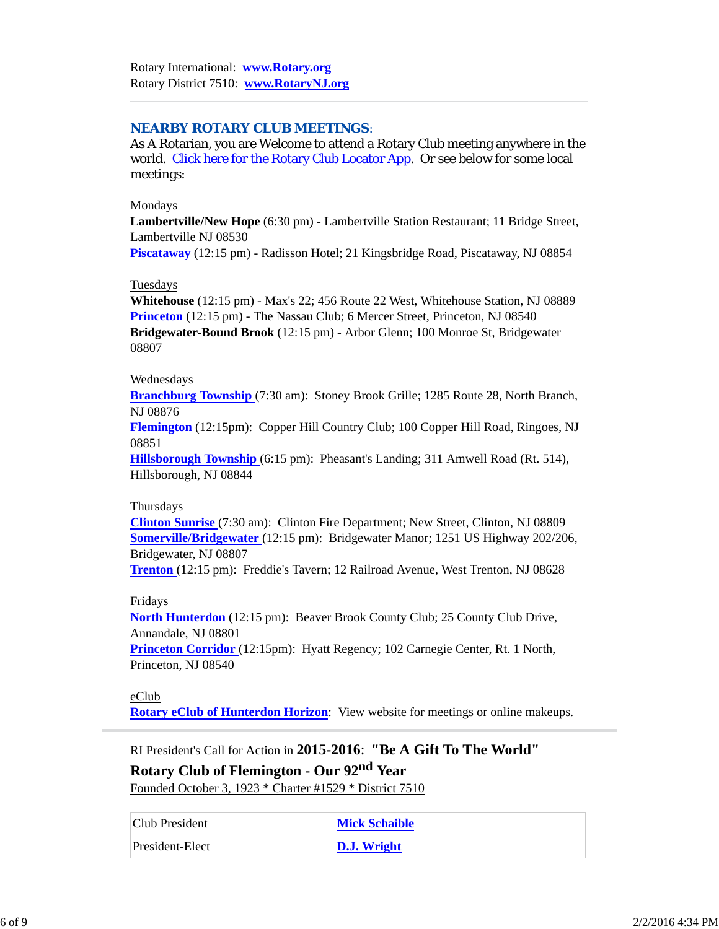### *NEARBY ROTARY CLUB MEETINGS:*

As A Rotarian, you are Welcome to attend a Rotary Club meeting anywhere in the world. Click here for the Rotary Club Locator App. Or see below for some local meetings:

#### Mondays

**Lambertville/New Hope** (6:30 pm) - Lambertville Station Restaurant; 11 Bridge Street, Lambertville NJ 08530

**Piscataway** (12:15 pm) - Radisson Hotel; 21 Kingsbridge Road, Piscataway, NJ 08854

#### Tuesdays

**Whitehouse** (12:15 pm) - Max's 22; 456 Route 22 West, Whitehouse Station, NJ 08889 **Princeton** (12:15 pm) - The Nassau Club; 6 Mercer Street, Princeton, NJ 08540 **Bridgewater-Bound Brook** (12:15 pm) - Arbor Glenn; 100 Monroe St, Bridgewater 08807

#### Wednesdays

**Branchburg Township** (7:30 am): Stoney Brook Grille; 1285 Route 28, North Branch, NJ 08876

**Flemington** (12:15pm): Copper Hill Country Club; 100 Copper Hill Road, Ringoes, NJ 08851

**Hillsborough Township** (6:15 pm): Pheasant's Landing; 311 Amwell Road (Rt. 514), Hillsborough, NJ 08844

#### Thursdays

**Clinton Sunrise** (7:30 am): Clinton Fire Department; New Street, Clinton, NJ 08809 **Somerville/Bridgewater** (12:15 pm): Bridgewater Manor; 1251 US Highway 202/206, Bridgewater, NJ 08807

**Trenton** (12:15 pm): Freddie's Tavern; 12 Railroad Avenue, West Trenton, NJ 08628

#### Fridays

**North Hunterdon** (12:15 pm): Beaver Brook County Club; 25 County Club Drive, Annandale, NJ 08801

**Princeton Corridor** (12:15pm): Hyatt Regency; 102 Carnegie Center, Rt. 1 North, Princeton, NJ 08540

#### eClub

**Rotary eClub of Hunterdon Horizon**: View website for meetings or online makeups.

RI President's Call for Action in **2015-2016**: **"Be A Gift To The World"**

**Rotary Club of Flemington - Our 92nd Year** Founded October 3, 1923 \* Charter #1529 \* District 7510

| Club President  | <b>Mick Schaible</b> |
|-----------------|----------------------|
| President-Elect | <b>D.J.</b> Wright   |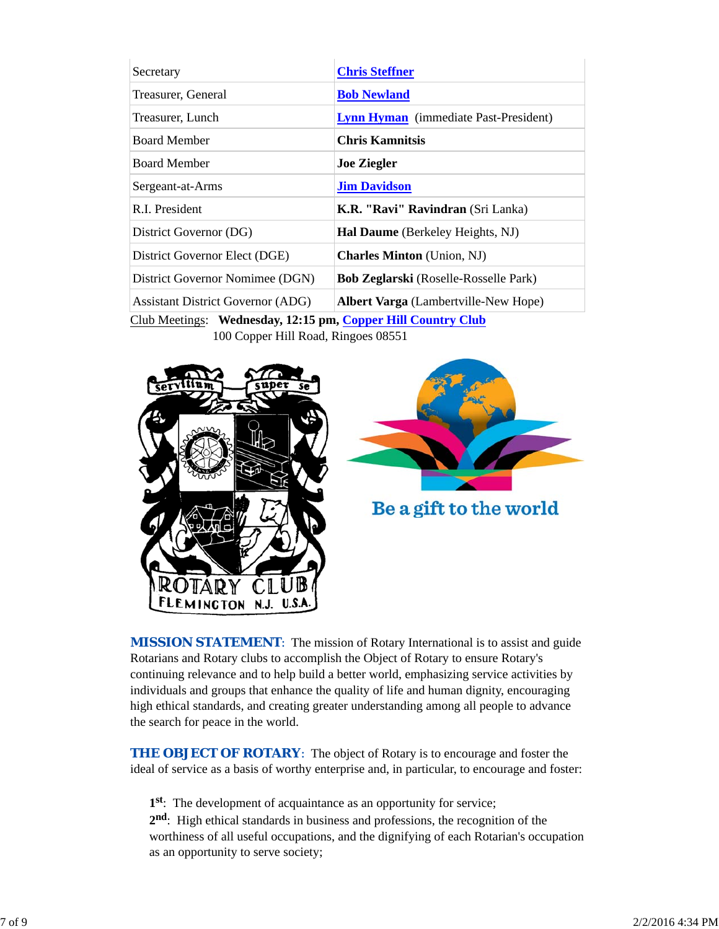| Secretary                                | <b>Chris Steffner</b>                        |
|------------------------------------------|----------------------------------------------|
| Treasurer, General                       | <b>Bob Newland</b>                           |
| Treasurer, Lunch                         | <b>Lynn Hyman</b> (immediate Past-President) |
| <b>Board Member</b>                      | <b>Chris Kamnitsis</b>                       |
| <b>Board Member</b>                      | <b>Joe Ziegler</b>                           |
| Sergeant-at-Arms                         | <b>Jim Davidson</b>                          |
| R.I. President                           | K.R. "Ravi" Ravindran (Sri Lanka)            |
| District Governor (DG)                   | <b>Hal Daume</b> (Berkeley Heights, NJ)      |
| District Governor Elect (DGE)            | <b>Charles Minton</b> (Union, NJ)            |
| District Governor Nomimee (DGN)          | <b>Bob Zeglarski</b> (Roselle-Rosselle Park) |
| <b>Assistant District Governor (ADG)</b> | <b>Albert Varga</b> (Lambertville-New Hope)  |

Club Meetings: **Wednesday, 12:15 pm, Copper Hill Country Club** 100 Copper Hill Road, Ringoes 08551





Be a gift to the world

**MISSION STATEMENT:** The mission of Rotary International is to assist and guide Rotarians and Rotary clubs to accomplish the Object of Rotary to ensure Rotary's continuing relevance and to help build a better world, emphasizing service activities by individuals and groups that enhance the quality of life and human dignity, encouraging high ethical standards, and creating greater understanding among all people to advance the search for peace in the world.

**THE OBJECT OF ROTARY:** The object of Rotary is to encourage and foster the ideal of service as a basis of worthy enterprise and, in particular, to encourage and foster:

**1st**: The development of acquaintance as an opportunity for service;

**2nd**: High ethical standards in business and professions, the recognition of the worthiness of all useful occupations, and the dignifying of each Rotarian's occupation as an opportunity to serve society;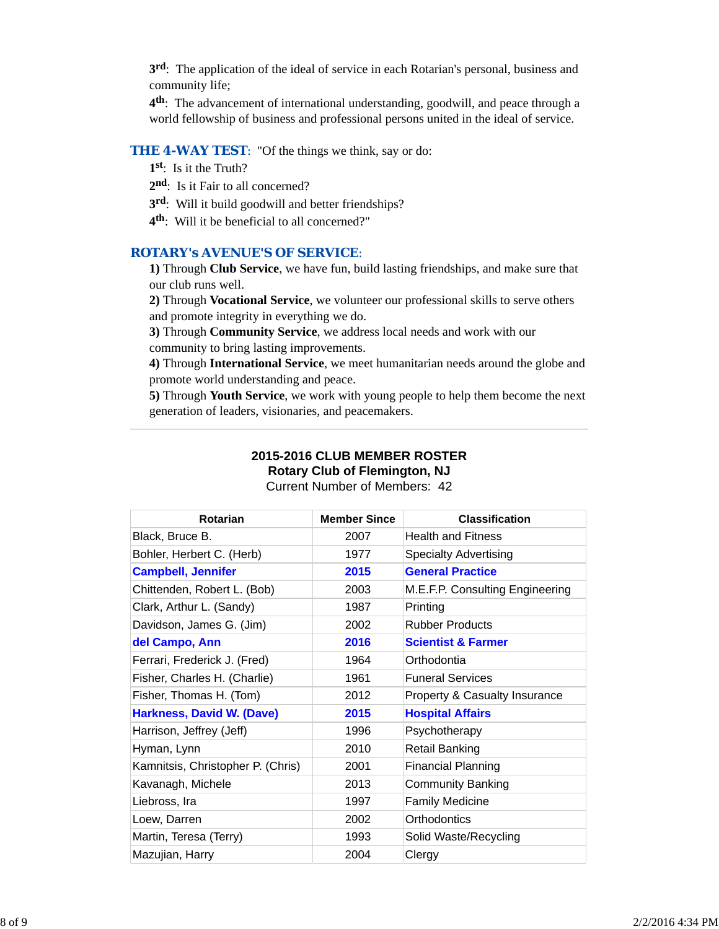**3rd**: The application of the ideal of service in each Rotarian's personal, business and community life;

**4th**: The advancement of international understanding, goodwill, and peace through a world fellowship of business and professional persons united in the ideal of service.

### **THE 4-WAY TEST:** "Of the things we think, say or do:

- **1st**: Is it the Truth?
- 2<sup>nd</sup>: Is it Fair to all concerned?
- **3rd**: Will it build goodwill and better friendships?
- **4th**: Will it be beneficial to all concerned?"

### *ROTARY's AVENUE'S OF SERVICE*:

**1)** Through **Club Service**, we have fun, build lasting friendships, and make sure that our club runs well.

**2)** Through **Vocational Service**, we volunteer our professional skills to serve others and promote integrity in everything we do.

**3)** Through **Community Service**, we address local needs and work with our community to bring lasting improvements.

**4)** Through **International Service**, we meet humanitarian needs around the globe and promote world understanding and peace.

**5)** Through **Youth Service**, we work with young people to help them become the next generation of leaders, visionaries, and peacemakers.

### **2015-2016 CLUB MEMBER ROSTER Rotary Club of Flemington, NJ**

Current Number of Members: 42

| <b>Rotarian</b>                   | <b>Member Since</b> | <b>Classification</b>                    |
|-----------------------------------|---------------------|------------------------------------------|
| Black, Bruce B.                   | 2007                | <b>Health and Fitness</b>                |
| Bohler, Herbert C. (Herb)         | 1977                | <b>Specialty Advertising</b>             |
| <b>Campbell, Jennifer</b>         | 2015                | <b>General Practice</b>                  |
| Chittenden, Robert L. (Bob)       | 2003                | M.E.F.P. Consulting Engineering          |
| Clark, Arthur L. (Sandy)          | 1987                | Printing                                 |
| Davidson, James G. (Jim)          | 2002                | <b>Rubber Products</b>                   |
| del Campo, Ann                    | 2016                | <b>Scientist &amp; Farmer</b>            |
| Ferrari, Frederick J. (Fred)      | 1964                | Orthodontia                              |
| Fisher, Charles H. (Charlie)      | 1961                | <b>Funeral Services</b>                  |
| Fisher, Thomas H. (Tom)           | 2012                | <b>Property &amp; Casualty Insurance</b> |
| Harkness, David W. (Dave)         | 2015                | <b>Hospital Affairs</b>                  |
| Harrison, Jeffrey (Jeff)          | 1996                | Psychotherapy                            |
| Hyman, Lynn                       | 2010                | Retail Banking                           |
| Kamnitsis, Christopher P. (Chris) | 2001                | <b>Financial Planning</b>                |
| Kavanagh, Michele                 | 2013                | <b>Community Banking</b>                 |
| Liebross, Ira                     | 1997                | <b>Family Medicine</b>                   |
| Loew, Darren                      | 2002                | Orthodontics                             |
| Martin, Teresa (Terry)            | 1993                | Solid Waste/Recycling                    |
| Mazujian, Harry                   | 2004                | Clergy                                   |